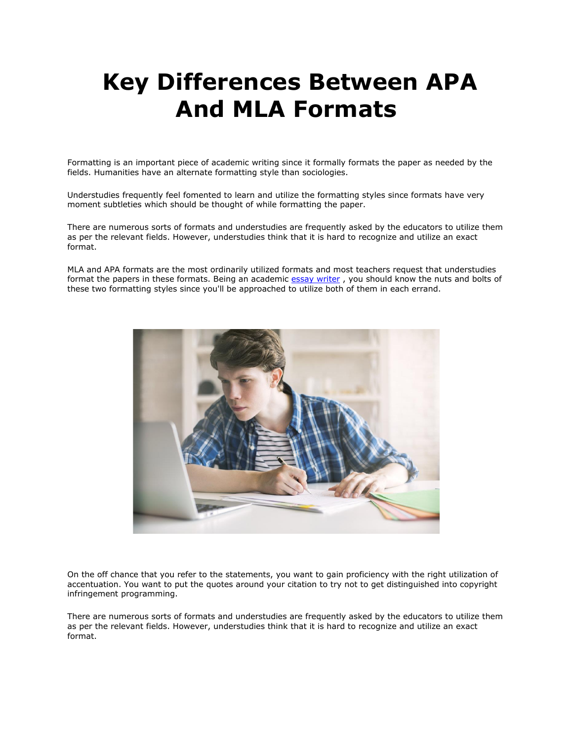## **Key Differences Between APA And MLA Formats**

Formatting is an important piece of academic writing since it formally formats the paper as needed by the fields. Humanities have an alternate formatting style than sociologies.

Understudies frequently feel fomented to learn and utilize the formatting styles since formats have very moment subtleties which should be thought of while formatting the paper.

There are numerous sorts of formats and understudies are frequently asked by the educators to utilize them as per the relevant fields. However, understudies think that it is hard to recognize and utilize an exact format.

MLA and APA formats are the most ordinarily utilized formats and most teachers request that understudies format the papers in these formats. Being an academic [essay writer](https://essayhours.com/), you should know the nuts and bolts of these two formatting styles since you'll be approached to utilize both of them in each errand.



On the off chance that you refer to the statements, you want to gain proficiency with the right utilization of accentuation. You want to put the quotes around your citation to try not to get distinguished into copyright infringement programming.

There are numerous sorts of formats and understudies are frequently asked by the educators to utilize them as per the relevant fields. However, understudies think that it is hard to recognize and utilize an exact format.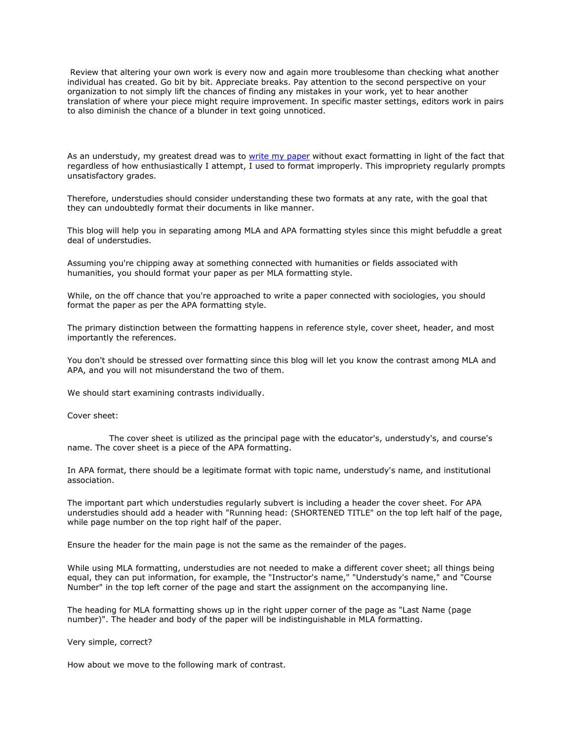Review that altering your own work is every now and again more troublesome than checking what another individual has created. Go bit by bit. Appreciate breaks. Pay attention to the second perspective on your organization to not simply lift the chances of finding any mistakes in your work, yet to hear another translation of where your piece might require improvement. In specific master settings, editors work in pairs to also diminish the chance of a blunder in text going unnoticed.

As an understudy, my greatest dread was to [write my paper](https://essayhours.com/) without exact formatting in light of the fact that regardless of how enthusiastically I attempt, I used to format improperly. This impropriety regularly prompts unsatisfactory grades.

Therefore, understudies should consider understanding these two formats at any rate, with the goal that they can undoubtedly format their documents in like manner.

This blog will help you in separating among MLA and APA formatting styles since this might befuddle a great deal of understudies.

Assuming you're chipping away at something connected with humanities or fields associated with humanities, you should format your paper as per MLA formatting style.

While, on the off chance that you're approached to write a paper connected with sociologies, you should format the paper as per the APA formatting style.

The primary distinction between the formatting happens in reference style, cover sheet, header, and most importantly the references.

You don't should be stressed over formatting since this blog will let you know the contrast among MLA and APA, and you will not misunderstand the two of them.

We should start examining contrasts individually.

Cover sheet:

 The cover sheet is utilized as the principal page with the educator's, understudy's, and course's name. The cover sheet is a piece of the APA formatting.

In APA format, there should be a legitimate format with topic name, understudy's name, and institutional association.

The important part which understudies regularly subvert is including a header the cover sheet. For APA understudies should add a header with "Running head: (SHORTENED TITLE" on the top left half of the page, while page number on the top right half of the paper.

Ensure the header for the main page is not the same as the remainder of the pages.

While using MLA formatting, understudies are not needed to make a different cover sheet; all things being equal, they can put information, for example, the "Instructor's name," "Understudy's name," and "Course Number" in the top left corner of the page and start the assignment on the accompanying line.

The heading for MLA formatting shows up in the right upper corner of the page as "Last Name (page number)". The header and body of the paper will be indistinguishable in MLA formatting.

Very simple, correct?

How about we move to the following mark of contrast.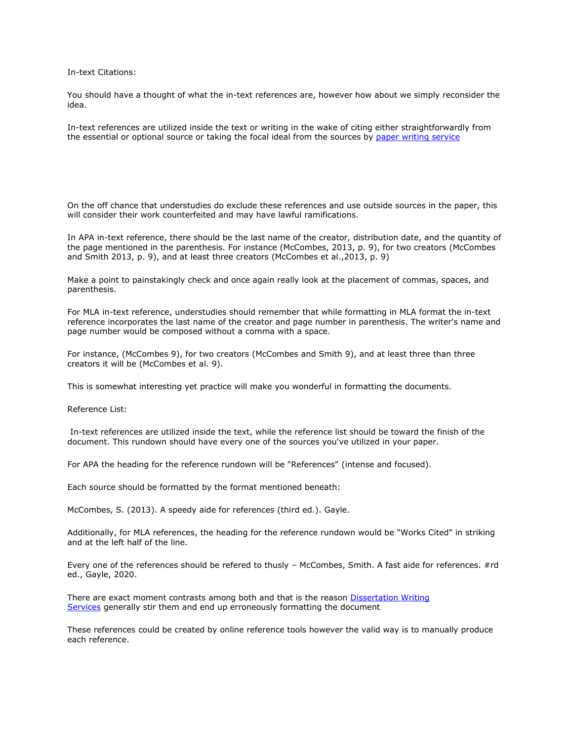In-text Citations:

You should have a thought of what the in-text references are, however how about we simply reconsider the idea.

In-text references are utilized inside the text or writing in the wake of citing either straightforwardly from the essential or optional source or taking the focal ideal from the sources by [paper writing service](https://www.collegeessay.org/)

On the off chance that understudies do exclude these references and use outside sources in the paper, this will consider their work counterfeited and may have lawful ramifications.

In APA in-text reference, there should be the last name of the creator, distribution date, and the quantity of the page mentioned in the parenthesis. For instance (McCombes, 2013, p. 9), for two creators (McCombes and Smith 2013, p. 9), and at least three creators (McCombes et al.,2013, p. 9)

Make a point to painstakingly check and once again really look at the placement of commas, spaces, and parenthesis.

For MLA in-text reference, understudies should remember that while formatting in MLA format the in-text reference incorporates the last name of the creator and page number in parenthesis. The writer's name and page number would be composed without a comma with a space.

For instance, (McCombes 9), for two creators (McCombes and Smith 9), and at least three than three creators it will be (McCombes et al. 9).

This is somewhat interesting yet practice will make you wonderful in formatting the documents.

Reference List:

In-text references are utilized inside the text, while the reference list should be toward the finish of the document. This rundown should have every one of the sources you've utilized in your paper.

For APA the heading for the reference rundown will be "References" (intense and focused).

Each source should be formatted by the format mentioned beneath:

McCombes, S. (2013). A speedy aide for references (third ed.). Gayle.

Additionally, for MLA references, the heading for the reference rundown would be "Works Cited" in striking and at the left half of the line.

Every one of the references should be refered to thusly – McCombes, Smith. A fast aide for references. #rd ed., Gayle, 2020.

There are exact moment contrasts among both and that is the reason Dissertation Writing [Services](https://www.gradschoolgenius.com/dissertation-writing-services) generally stir them and end up erroneously formatting the document

These references could be created by online reference tools however the valid way is to manually produce each reference.